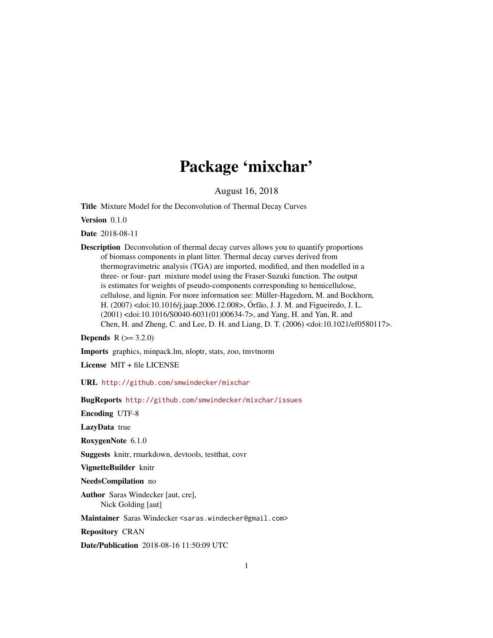# Package 'mixchar'

August 16, 2018

Title Mixture Model for the Deconvolution of Thermal Decay Curves

Version 0.1.0

Date 2018-08-11

Description Deconvolution of thermal decay curves allows you to quantify proportions of biomass components in plant litter. Thermal decay curves derived from thermogravimetric analysis (TGA) are imported, modified, and then modelled in a three- or four- part mixture model using the Fraser-Suzuki function. The output is estimates for weights of pseudo-components corresponding to hemicellulose, cellulose, and lignin. For more information see: Müller-Hagedorn, M. and Bockhorn, H. (2007) <doi:10.1016/j.jaap.2006.12.008>, Órfão, J. J. M. and Figueiredo, J. L. (2001) <doi:10.1016/S0040-6031(01)00634-7>, and Yang, H. and Yan, R. and Chen, H. and Zheng, C. and Lee, D. H. and Liang, D. T. (2006) <doi:10.1021/ef0580117>.

**Depends**  $R (= 3.2.0)$ 

Imports graphics, minpack.lm, nloptr, stats, zoo, tmvtnorm

License MIT + file LICENSE

URL <http://github.com/smwindecker/mixchar>

BugReports <http://github.com/smwindecker/mixchar/issues>

Encoding UTF-8

LazyData true

RoxygenNote 6.1.0

Suggests knitr, rmarkdown, devtools, testthat, covr

VignetteBuilder knitr

NeedsCompilation no

Author Saras Windecker [aut, cre], Nick Golding [aut]

Maintainer Saras Windecker <saras.windecker@gmail.com>

Repository CRAN

Date/Publication 2018-08-16 11:50:09 UTC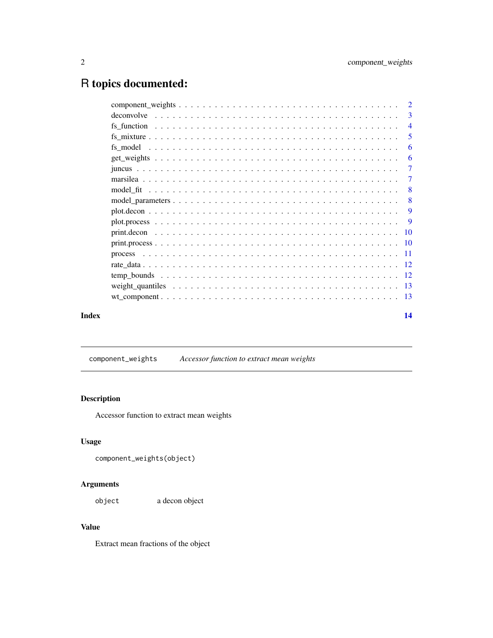## <span id="page-1-0"></span>R topics documented:

|       | $\overline{\mathbf{3}}$ |
|-------|-------------------------|
|       | $\overline{4}$          |
|       | 5                       |
|       | -6                      |
|       | -6                      |
|       | $\overline{7}$          |
|       | 7                       |
|       | -8                      |
|       | -8                      |
|       | -9                      |
|       | - 9                     |
|       |                         |
|       |                         |
|       |                         |
|       |                         |
|       |                         |
|       |                         |
|       |                         |
| Index | 14                      |

component\_weights *Accessor function to extract mean weights*

#### Description

Accessor function to extract mean weights

#### Usage

```
component_weights(object)
```
#### Arguments

object a decon object

### Value

Extract mean fractions of the object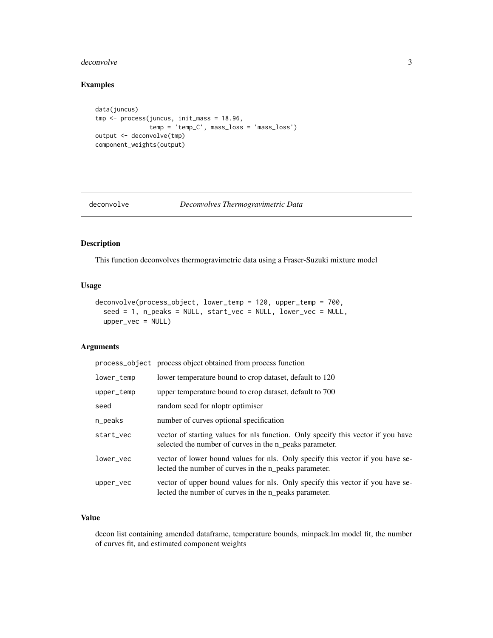#### <span id="page-2-0"></span>deconvolve 3

#### Examples

```
data(juncus)
tmp <- process(juncus, init_mass = 18.96,
              temp = 'temp_C', mass_loss = 'mass_loss')
output <- deconvolve(tmp)
component_weights(output)
```
#### deconvolve *Deconvolves Thermogravimetric Data*

#### Description

This function deconvolves thermogravimetric data using a Fraser-Suzuki mixture model

#### Usage

```
deconvolve(process_object, lower_temp = 120, upper_temp = 700,
  seed = 1, n_peaks = NULL, start_vec = NULL, lower_vec = NULL,
 upper_vec = NULL)
```
#### Arguments

|            | process_object process object obtained from process function                                                                                |
|------------|---------------------------------------------------------------------------------------------------------------------------------------------|
| lower_temp | lower temperature bound to crop dataset, default to 120                                                                                     |
| upper_temp | upper temperature bound to crop dataset, default to 700                                                                                     |
| seed       | random seed for nloptr optimiser                                                                                                            |
| n_peaks    | number of curves optional specification                                                                                                     |
| start_vec  | vector of starting values for nls function. Only specify this vector if you have<br>selected the number of curves in the n_peaks parameter. |
| lower_vec  | vector of lower bound values for nls. Only specify this vector if you have se-<br>lected the number of curves in the n_peaks parameter.     |
| upper_vec  | vector of upper bound values for nls. Only specify this vector if you have se-<br>lected the number of curves in the n_peaks parameter.     |

#### Value

decon list containing amended dataframe, temperature bounds, minpack.lm model fit, the number of curves fit, and estimated component weights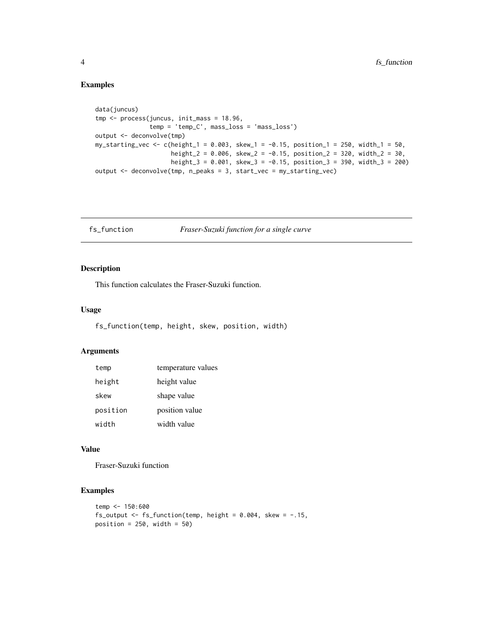#### Examples

```
data(juncus)
tmp <- process(juncus, init_mass = 18.96,
               temp = 'temp_C', mass_loss = 'mass_loss')
output <- deconvolve(tmp)
my_starting_vec <- c(height_1 = 0.003, skew_1 = -0.15, position_1 = 250, width_1 = 50,
                     height_2 = 0.006, skew_2 = -0.15, position_2 = 320, width_2 = 30,
                     height_3 = 0.001, skew_3 = -0.15, position_3 = 390, width_3 = 200)
output <- deconvolve(tmp, n_peaks = 3, start_vec = my_starting_vec)
```
fs\_function *Fraser-Suzuki function for a single curve*

#### Description

This function calculates the Fraser-Suzuki function.

#### Usage

fs\_function(temp, height, skew, position, width)

#### Arguments

| temp     | temperature values |
|----------|--------------------|
| height   | height value       |
| skew     | shape value        |
| position | position value     |
| width    | width value        |

#### Value

Fraser-Suzuki function

#### Examples

```
temp <- 150:600
fs_output <- fs\_function(temp, height = 0.004, skew = -.15,
position = 250, width = 50)
```
<span id="page-3-0"></span>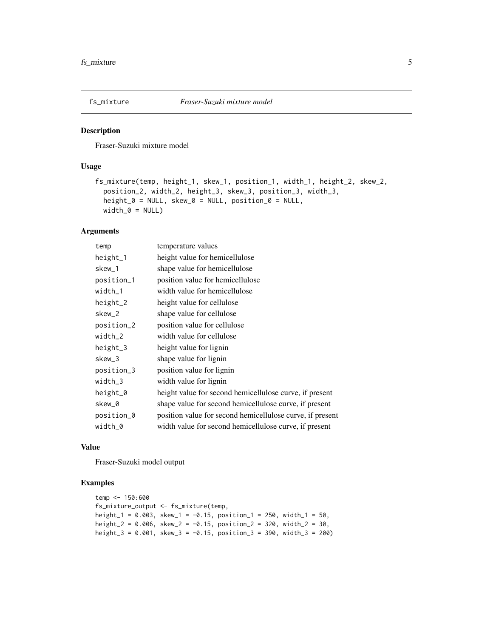<span id="page-4-0"></span>

Fraser-Suzuki mixture model

#### Usage

```
fs_mixture(temp, height_1, skew_1, position_1, width_1, height_2, skew_2,
 position_2, width_2, height_3, skew_3, position_3, width_3,
 height_0 = NULL, skew_0 = NULL, position_0 = NULL,
 width_0 = NULL
```
#### Arguments

| temp       | temperature values                                        |
|------------|-----------------------------------------------------------|
| height_1   | height value for hemicellulose                            |
| skew_1     | shape value for hemicellulose                             |
| position_1 | position value for hemicellulose                          |
| width_1    | width value for hemicellulose                             |
| height_2   | height value for cellulose                                |
| skew_2     | shape value for cellulose                                 |
| position_2 | position value for cellulose                              |
| width_2    | width value for cellulose                                 |
| height_3   | height value for lignin                                   |
| skew 3     | shape value for lignin                                    |
| position_3 | position value for lignin                                 |
| width_3    | width value for lignin                                    |
| height_0   | height value for second hemicellulose curve, if present   |
| skew_0     | shape value for second hemicellulose curve, if present    |
| position_0 | position value for second hemicellulose curve, if present |
| width_0    | width value for second hemicellulose curve, if present    |

#### Value

Fraser-Suzuki model output

#### Examples

```
temp <- 150:600
fs_mixture_output <- fs_mixture(temp,
height<sub>1</sub> = 0.003, skew<sub>-1</sub> = -0.15, position<sub>-1</sub> = 250, width<sub>-1</sub> = 50,
height_2 = 0.006, skew_2 = -0.15, position_2 = 320, width_2 = 30,
height_3 = 0.001, skew_3 = -0.15, position_3 = 390, width_3 = 200)
```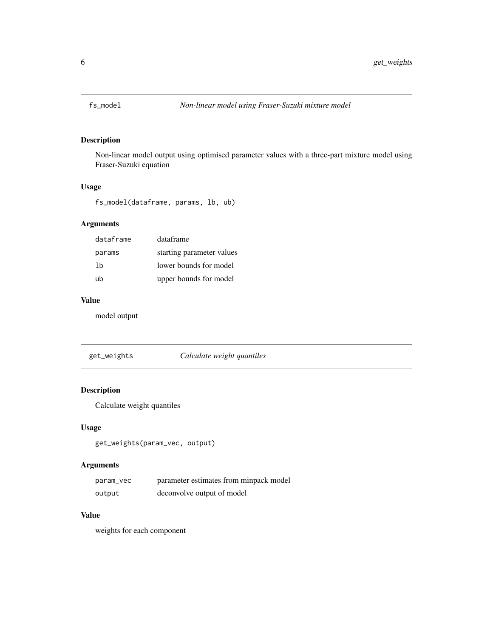<span id="page-5-0"></span>

Non-linear model output using optimised parameter values with a three-part mixture model using Fraser-Suzuki equation

#### Usage

fs\_model(dataframe, params, lb, ub)

#### Arguments

| dataframe | dataframe                 |
|-----------|---------------------------|
| params    | starting parameter values |
| 1b        | lower bounds for model    |
| ub        | upper bounds for model    |

#### Value

model output

get\_weights *Calculate weight quantiles*

#### Description

Calculate weight quantiles

#### Usage

get\_weights(param\_vec, output)

#### Arguments

| param_vec | parameter estimates from minpack model |
|-----------|----------------------------------------|
| output    | deconvolve output of model             |

#### Value

weights for each component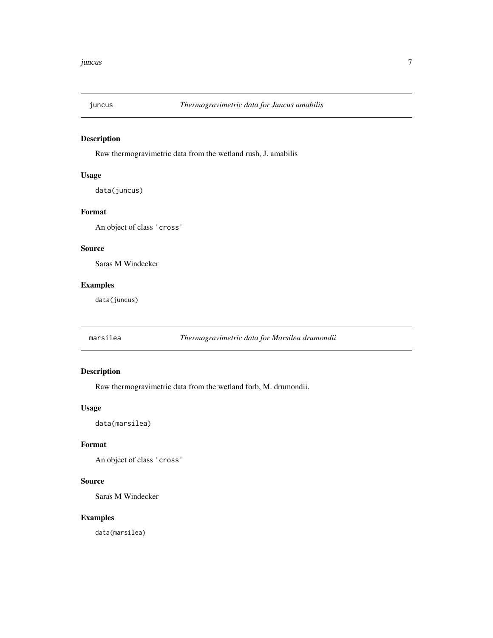<span id="page-6-0"></span>

Raw thermogravimetric data from the wetland rush, J. amabilis

#### Usage

data(juncus)

#### Format

An object of class 'cross'

#### Source

Saras M Windecker

#### Examples

data(juncus)

marsilea *Thermogravimetric data for Marsilea drumondii*

#### Description

Raw thermogravimetric data from the wetland forb, M. drumondii.

#### Usage

data(marsilea)

#### Format

An object of class 'cross'

#### Source

Saras M Windecker

#### Examples

data(marsilea)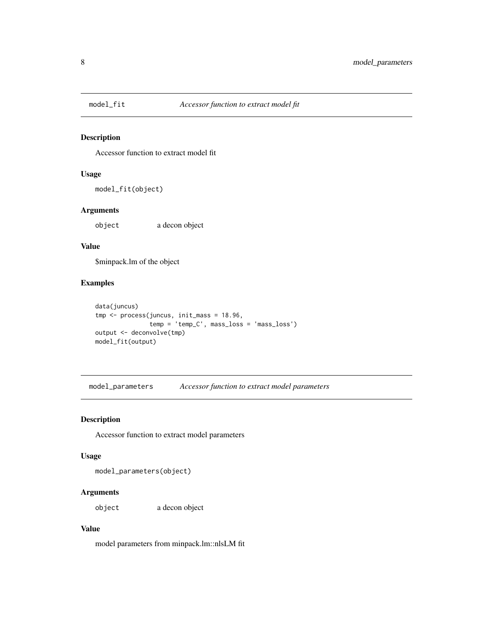<span id="page-7-0"></span>

Accessor function to extract model fit

#### Usage

model\_fit(object)

#### Arguments

object a decon object

#### Value

\$minpack.lm of the object

#### Examples

```
data(juncus)
tmp <- process(juncus, init_mass = 18.96,
               temp = 'temp_C', mass_loss = 'mass_loss')
output <- deconvolve(tmp)
model_fit(output)
```
model\_parameters *Accessor function to extract model parameters*

#### Description

Accessor function to extract model parameters

#### Usage

model\_parameters(object)

#### Arguments

object a decon object

#### Value

model parameters from minpack.lm::nlsLM fit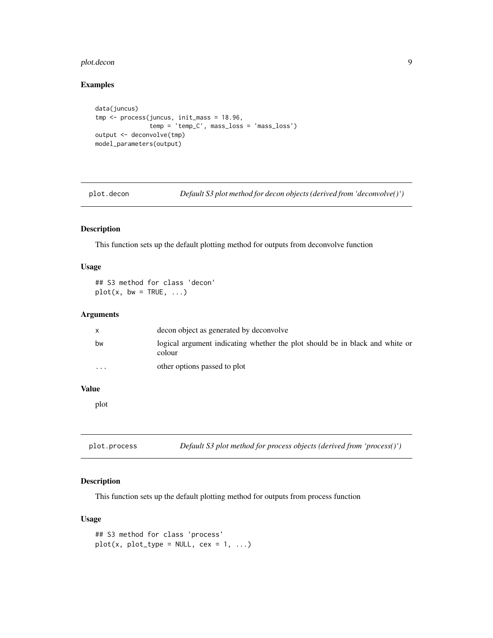#### <span id="page-8-0"></span>plot.decon 9

#### Examples

```
data(juncus)
tmp <- process(juncus, init_mass = 18.96,
              temp = 'temp_C', mass_loss = 'mass_loss')
output <- deconvolve(tmp)
model_parameters(output)
```
plot.decon *Default S3 plot method for decon objects (derived from 'deconvolve()')*

#### Description

This function sets up the default plotting method for outputs from deconvolve function

#### Usage

## S3 method for class 'decon'  $plot(x, bw = TRUE, ...)$ 

#### Arguments

|                         | decon object as generated by deconvolve                                                |
|-------------------------|----------------------------------------------------------------------------------------|
| bw                      | logical argument indicating whether the plot should be in black and white or<br>colour |
| $\cdot$ $\cdot$ $\cdot$ | other options passed to plot                                                           |

#### Value

plot

plot.process *Default S3 plot method for process objects (derived from 'process()')*

#### Description

This function sets up the default plotting method for outputs from process function

#### Usage

```
## S3 method for class 'process'
plot(x, plot_type = NULL, cex = 1, ...)
```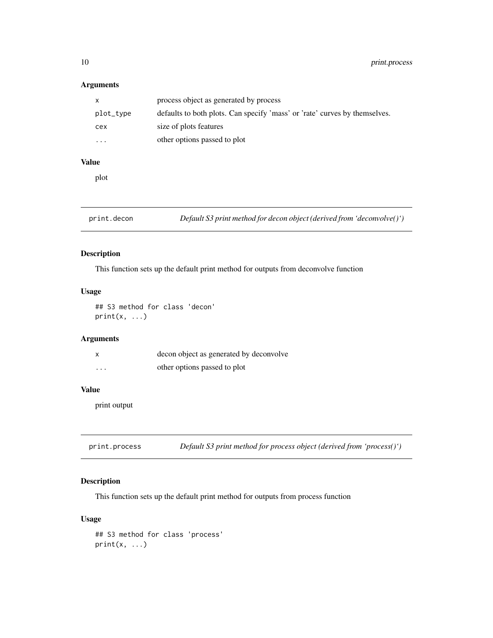#### <span id="page-9-0"></span>Arguments

| $\mathsf{x}$            | process object as generated by process                                     |
|-------------------------|----------------------------------------------------------------------------|
| plot_type               | defaults to both plots. Can specify 'mass' or 'rate' curves by themselves. |
| cex                     | size of plots features                                                     |
| $\cdot$ $\cdot$ $\cdot$ | other options passed to plot                                               |

#### Value

plot

print.decon *Default S3 print method for decon object (derived from 'deconvolve()')*

#### Description

This function sets up the default print method for outputs from deconvolve function

#### Usage

## S3 method for class 'decon'  $print(x, \ldots)$ 

#### Arguments

|          | decon object as generated by deconvolve |
|----------|-----------------------------------------|
| $\cdots$ | other options passed to plot            |

#### Value

print output

print.process *Default S3 print method for process object (derived from 'process()')*

#### Description

This function sets up the default print method for outputs from process function

#### Usage

```
## S3 method for class 'process'
print(x, \ldots)
```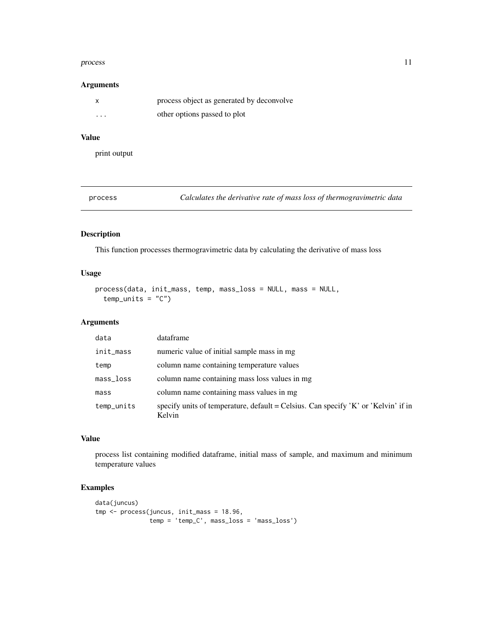#### <span id="page-10-0"></span>process and the process in the process in the process in the process in the process in the process in the process in the process in the process in the process in the process in the process in the process in the process in

#### Arguments

|          | process object as generated by deconvolve |
|----------|-------------------------------------------|
| $\cdots$ | other options passed to plot              |

#### Value

print output

process *Calculates the derivative rate of mass loss of thermogravimetric data*

#### Description

This function processes thermogravimetric data by calculating the derivative of mass loss

#### Usage

```
process(data, init_mass, temp, mass_loss = NULL, mass = NULL,
  temp\_units = "C")
```
#### Arguments

| data        | dataframe                                                                                     |
|-------------|-----------------------------------------------------------------------------------------------|
| init_mass   | numeric value of initial sample mass in mg                                                    |
| temp        | column name containing temperature values                                                     |
| $mass_loss$ | column name containing mass loss values in mg                                                 |
| mass        | column name containing mass values in mg                                                      |
| temp_units  | specify units of temperature, default = Celsius. Can specify $K'$ or 'Kelvin' if in<br>Kelvin |

#### Value

process list containing modified dataframe, initial mass of sample, and maximum and minimum temperature values

#### Examples

```
data(juncus)
tmp <- process(juncus, init_mass = 18.96,
               temp = 'temp_C', mass_loss = 'mass_loss')
```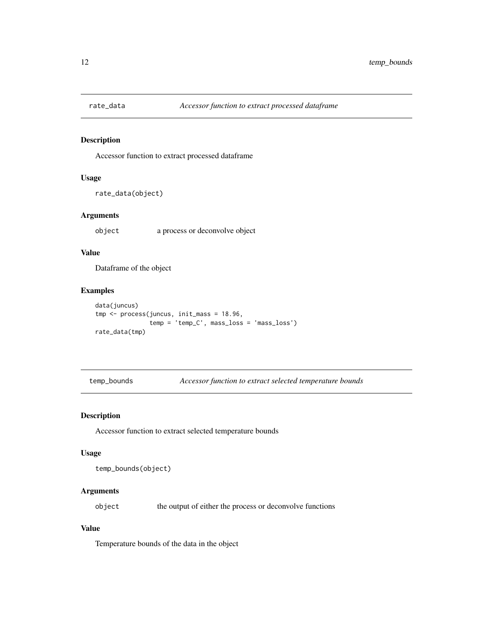<span id="page-11-0"></span>

Accessor function to extract processed dataframe

#### Usage

rate\_data(object)

#### Arguments

object a process or deconvolve object

#### Value

Dataframe of the object

#### Examples

```
data(juncus)
tmp <- process(juncus, init_mass = 18.96,
               temp = 'temp_C', mass_loss = 'mass_loss')
rate_data(tmp)
```
temp\_bounds *Accessor function to extract selected temperature bounds*

#### Description

Accessor function to extract selected temperature bounds

#### Usage

```
temp_bounds(object)
```
#### Arguments

object the output of either the process or deconvolve functions

#### Value

Temperature bounds of the data in the object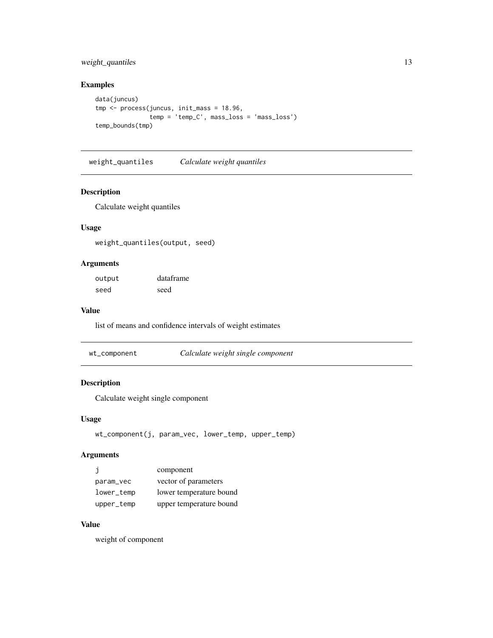#### <span id="page-12-0"></span>weight\_quantiles 13

#### Examples

```
data(juncus)
tmp <- process(juncus, init_mass = 18.96,
              temp = 'temp_C', mass_loss = 'mass_loss')
temp_bounds(tmp)
```
weight\_quantiles *Calculate weight quantiles*

#### Description

Calculate weight quantiles

#### Usage

weight\_quantiles(output, seed)

#### Arguments

| output | dataframe |
|--------|-----------|
| seed   | seed      |

#### Value

list of means and confidence intervals of weight estimates

| wt_component | Calculate weight single component |
|--------------|-----------------------------------|
|--------------|-----------------------------------|

#### Description

Calculate weight single component

#### Usage

```
wt_component(j, param_vec, lower_temp, upper_temp)
```
#### Arguments

| j          | component               |
|------------|-------------------------|
| param_vec  | vector of parameters    |
| lower_temp | lower temperature bound |
| upper_temp | upper temperature bound |

#### Value

weight of component